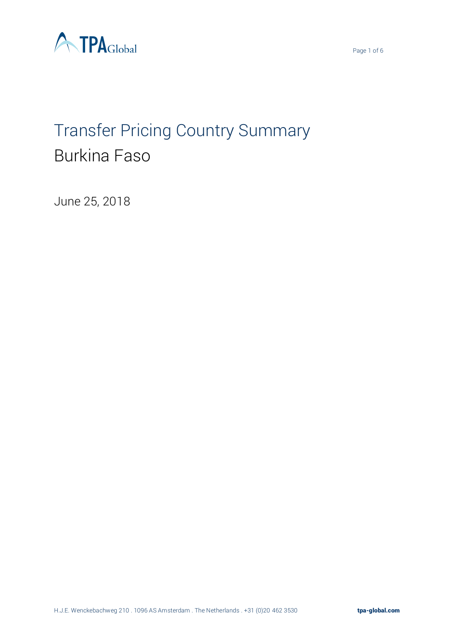



# Transfer Pricing Country Summary Burkina Faso

June 25, 2018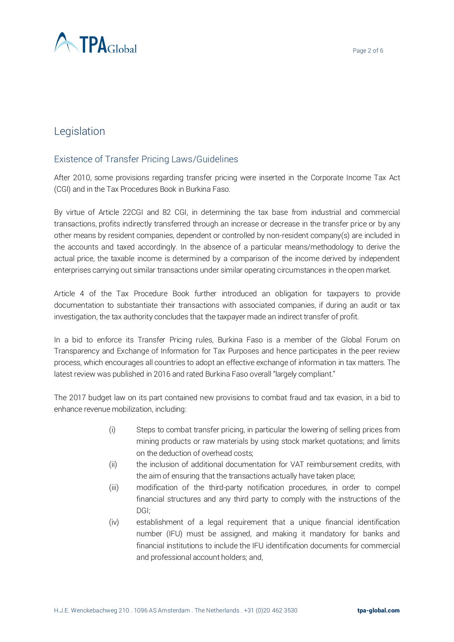

# Legislation

## Existence of Transfer Pricing Laws/Guidelines

After 2010, some provisions regarding transfer pricing were inserted in the Corporate Income Tax Act (CGI) and in the Tax Procedures Book in Burkina Faso.

By virtue of Article 22CGI and 82 CGI, in determining the tax base from industrial and commercial transactions, profits indirectly transferred through an increase or decrease in the transfer price or by any other means by resident companies, dependent or controlled by non-resident company(s) are included in the accounts and taxed accordingly. In the absence of a particular means/methodology to derive the actual price, the taxable income is determined by a comparison of the income derived by independent enterprises carrying out similar transactions under similar operating circumstances in the open market.

Article 4 of the Tax Procedure Book further introduced an obligation for taxpayers to provide documentation to substantiate their transactions with associated companies, if during an audit or tax investigation, the tax authority concludes that the taxpayer made an indirect transfer of profit.

In a bid to enforce its Transfer Pricing rules, Burkina Faso is a member of the Global Forum on Transparency and Exchange of Information for Tax Purposes and hence participates in the peer review process, which encourages all countries to adopt an effective exchange of information in tax matters. The latest review was published in 2016 and rated Burkina Faso overall "largely compliant."

The 2017 budget law on its part contained new provisions to combat fraud and tax evasion, in a bid to enhance revenue mobilization, including:

- (i) Steps to combat transfer pricing, in particular the lowering of selling prices from mining products or raw materials by using stock market quotations; and limits on the deduction of overhead costs;
- (ii) the inclusion of additional documentation for VAT reimbursement credits, with the aim of ensuring that the transactions actually have taken place;
- (iii) modification of the third-party notification procedures, in order to compel financial structures and any third party to comply with the instructions of the DGI;
- (iv) establishment of a legal requirement that a unique financial identification number (IFU) must be assigned, and making it mandatory for banks and financial institutions to include the IFU identification documents for commercial and professional account holders; and,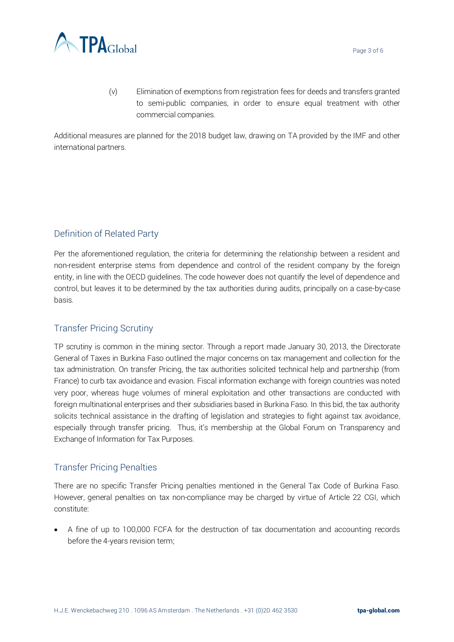

(v) Elimination of exemptions from registration fees for deeds and transfers granted to semi-public companies, in order to ensure equal treatment with other commercial companies.

Additional measures are planned for the 2018 budget law, drawing on TA provided by the IMF and other international partners.

## Definition of Related Party

Per the aforementioned regulation, the criteria for determining the relationship between a resident and non-resident enterprise stems from dependence and control of the resident company by the foreign entity, in line with the OECD guidelines. The code however does not quantify the level of dependence and control, but leaves it to be determined by the tax authorities during audits, principally on a case-by-case basis.

## Transfer Pricing Scrutiny

TP scrutiny is common in the mining sector. Through a report made January 30, 2013, the Directorate General of Taxes in Burkina Faso outlined the major concerns on tax management and collection for the tax administration. On transfer Pricing, the tax authorities solicited technical help and partnership (from France) to curb tax avoidance and evasion. Fiscal information exchange with foreign countries was noted very poor, whereas huge volumes of mineral exploitation and other transactions are conducted with foreign multinational enterprises and their subsidiaries based in Burkina Faso. In this bid, the tax authority solicits technical assistance in the drafting of legislation and strategies to fight against tax avoidance, especially through transfer pricing. Thus, it's membership at the Global Forum on Transparency and Exchange of Information for Tax Purposes.

## Transfer Pricing Penalties

There are no specific Transfer Pricing penalties mentioned in the General Tax Code of Burkina Faso. However, general penalties on tax non-compliance may be charged by virtue of Article 22 CGI, which constitute:

• A fine of up to 100,000 FCFA for the destruction of tax documentation and accounting records before the 4-years revision term;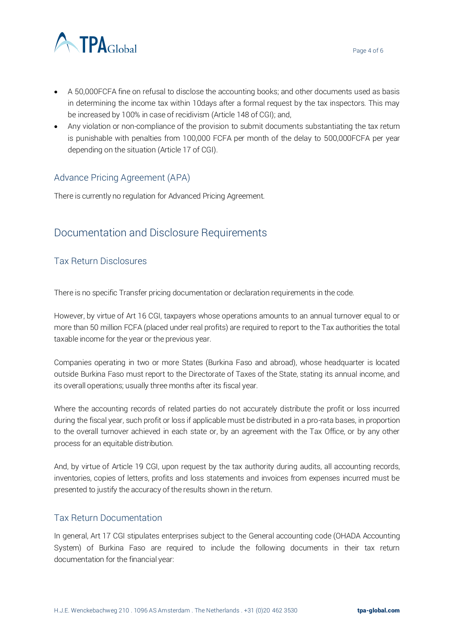

- A 50,000FCFA fine on refusal to disclose the accounting books; and other documents used as basis in determining the income tax within 10days after a formal request by the tax inspectors. This may be increased by 100% in case of recidivism (Article 148 of CGI); and,
- Any violation or non-compliance of the provision to submit documents substantiating the tax return is punishable with penalties from 100,000 FCFA per month of the delay to 500,000FCFA per year depending on the situation (Article 17 of CGI).

### Advance Pricing Agreement (APA)

There is currently no regulation for Advanced Pricing Agreement.

## Documentation and Disclosure Requirements

### Tax Return Disclosures

There is no specific Transfer pricing documentation or declaration requirements in the code.

However, by virtue of Art 16 CGI, taxpayers whose operations amounts to an annual turnover equal to or more than 50 million FCFA (placed under real profits) are required to report to the Tax authorities the total taxable income for the year or the previous year.

Companies operating in two or more States (Burkina Faso and abroad), whose headquarter is located outside Burkina Faso must report to the Directorate of Taxes of the State, stating its annual income, and its overall operations; usually three months after its fiscal year.

Where the accounting records of related parties do not accurately distribute the profit or loss incurred during the fiscal year, such profit or loss if applicable must be distributed in a pro-rata bases, in proportion to the overall turnover achieved in each state or, by an agreement with the Tax Office, or by any other process for an equitable distribution.

And, by virtue of Article 19 CGI, upon request by the tax authority during audits, all accounting records, inventories, copies of letters, profits and loss statements and invoices from expenses incurred must be presented to justify the accuracy of the results shown in the return.

#### Tax Return Documentation

In general, Art 17 CGI stipulates enterprises subject to the General accounting code (OHADA Accounting System) of Burkina Faso are required to include the following documents in their tax return documentation for the financial year:

Page 4 of 6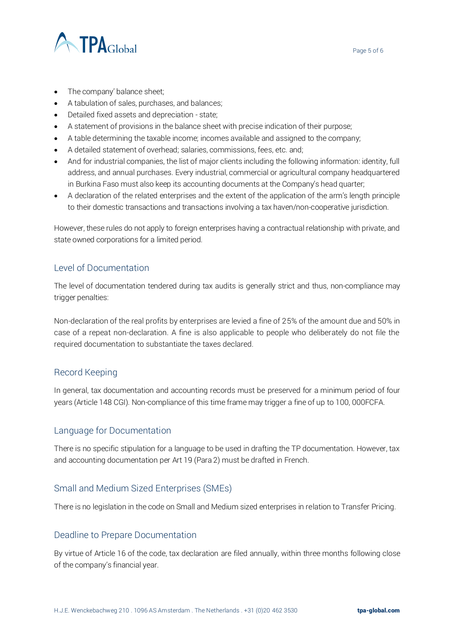

- The company' balance sheet;
- A tabulation of sales, purchases, and balances;
- Detailed fixed assets and depreciation state;
- A statement of provisions in the balance sheet with precise indication of their purpose;
- A table determining the taxable income; incomes available and assigned to the company;
- A detailed statement of overhead; salaries, commissions, fees, etc. and;
- And for industrial companies, the list of major clients including the following information: identity, full address, and annual purchases. Every industrial, commercial or agricultural company headquartered in Burkina Faso must also keep its accounting documents at the Company's head quarter;
- A declaration of the related enterprises and the extent of the application of the arm's length principle to their domestic transactions and transactions involving a tax haven/non-cooperative jurisdiction.

However, these rules do not apply to foreign enterprises having a contractual relationship with private, and state owned corporations for a limited period.

#### Level of Documentation

The level of documentation tendered during tax audits is generally strict and thus, non-compliance may trigger penalties:

Non-declaration of the real profits by enterprises are levied a fine of 25% of the amount due and 50% in case of a repeat non-declaration. A fine is also applicable to people who deliberately do not file the required documentation to substantiate the taxes declared.

#### Record Keeping

In general, tax documentation and accounting records must be preserved for a minimum period of four years (Article 148 CGI). Non-compliance of this time frame may trigger a fine of up to 100, 000FCFA.

#### Language for Documentation

There is no specific stipulation for a language to be used in drafting the TP documentation. However, tax and accounting documentation per Art 19 (Para 2) must be drafted in French.

#### Small and Medium Sized Enterprises (SMEs)

There is no legislation in the code on Small and Medium sized enterprises in relation to Transfer Pricing.

#### Deadline to Prepare Documentation

By virtue of Article 16 of the code, tax declaration are filed annually, within three months following close of the company's financial year.